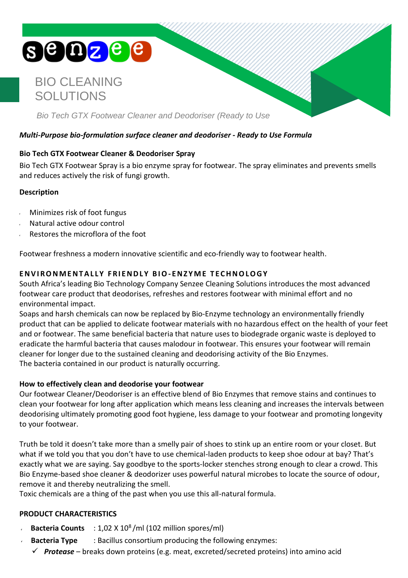# **SOOZEE**

# BIO CLEANING SOLUTIONS

*Bio Tech GTX Footwear Cleaner and Deodoriser (Ready to Use*

# *Multi-Purpose bio-formulation surface cleaner and deodoriser - Ready to Use Formula*

# **Bio Tech GTX Footwear Cleaner & Deodoriser Spray**

Bio Tech GTX Footwear Spray is a bio enzyme spray for footwear. The spray eliminates and prevents smells and reduces actively the risk of fungi growth.

## **Description**

- Minimizes risk of foot fungus
- Natural active odour control
- Restores the microflora of the foot

Footwear freshness a modern innovative scientific and eco-friendly way to footwear health.

# **ENVI RONMENTAL LY FRI ENDL Y BIO- ENZ YME T ECHNOLOGY**

South Africa's leading Bio Technology Company Senzee Cleaning Solutions introduces the most advanced footwear care product that deodorises, refreshes and restores footwear with minimal effort and no environmental impact.

Soaps and harsh chemicals can now be replaced by Bio-Enzyme technology an environmentally friendly product that can be applied to delicate footwear materials with no hazardous effect on the health of your feet and or footwear. The same beneficial bacteria that nature uses to biodegrade organic waste is deployed to eradicate the harmful bacteria that causes malodour in footwear. This ensures your footwear will remain cleaner for longer due to the sustained cleaning and deodorising activity of the Bio Enzymes. The bacteria contained in our product is naturally occurring.

#### **How to effectively clean and deodorise your footwear**

Our footwear Cleaner/Deodoriser is an effective blend of Bio Enzymes that remove stains and continues to clean your footwear for long after application which means less cleaning and increases the intervals between deodorising ultimately promoting good foot hygiene, less damage to your footwear and promoting longevity to your footwear.

Truth be told it doesn't take more than a smelly pair of shoes to stink up an entire room or your closet. But what if we told you that you don't have to use chemical-laden products to keep shoe odour at bay? That's exactly what we are saying. Say goodbye to the sports-locker stenches strong enough to clear a crowd. This Bio Enzyme-based shoe cleaner & deodorizer uses powerful natural microbes to locate the source of odour, remove it and thereby neutralizing the smell.

Toxic chemicals are a thing of the past when you use this all-natural formula.

# **PRODUCT CHARACTERISTICS**

- Bacteria Counts : 1,02 X 10<sup>8</sup>/ml (102 million spores/ml)
	- **Bacteria Type** : Bacillus consortium producing the following enzymes:
		- ✓ *Protease* breaks down proteins (e.g. meat, excreted/secreted proteins) into amino acid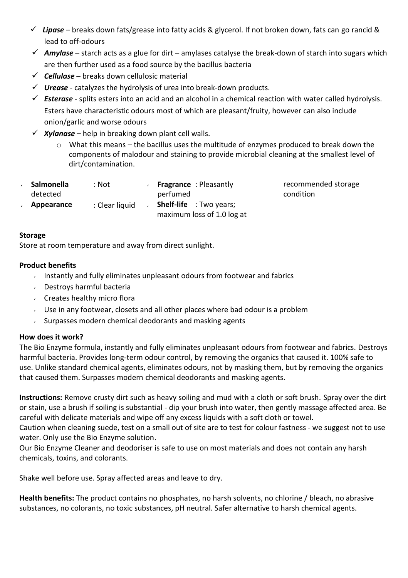- ✓ *Lipase* breaks down fats/grease into fatty acids & glycerol. If not broken down, fats can go rancid & lead to off-odours
- $\checkmark$  Amylase starch acts as a glue for dirt amylases catalyse the break-down of starch into sugars which are then further used as a food source by the bacillus bacteria
- ✓ *Cellulase* breaks down cellulosic material
- ✓ *Urease* [catalyzes](http://en.wikipedia.org/wiki/Catalysis) the [hydrolysis](http://en.wikipedia.org/wiki/Hydrolysis) of [urea](http://en.wikipedia.org/wiki/Urea) into break-down products.
- ✓ *Esterase* splits [esters](http://en.wikipedia.org/wiki/Ester) into an [acid](http://en.wikipedia.org/wiki/Acid) and an [alcohol](http://en.wikipedia.org/wiki/Alcohol) in a [chemical](http://en.wikipedia.org/wiki/Chemical_reaction) reaction with [water](http://en.wikipedia.org/wiki/Water_(molecule)) call[ed hydrolysis.](http://en.wikipedia.org/wiki/Hydrolysis) Esters have characteristic odours most of which are pleasant/fruity, however can also include onion/garlic and worse odours
- $\checkmark$  *Xylanase* help in breaking down plant cell walls.
	- o What this means the bacillus uses the multitude of enzymes produced to break down the components of malodour and staining to provide microbial cleaning at the smallest level of dirt/contamination.

| : Not          | <b>Fragrance</b> : Pleasantly<br>perfumed                    |
|----------------|--------------------------------------------------------------|
| : Clear liquid | <b>Shelf-life</b> : Two years;<br>maximum loss of 1.0 log at |
|                |                                                              |

recommended storage condition

#### **Storage**

Store at room temperature and away from direct sunlight.

#### **Product benefits**

- Instantly and fully eliminates unpleasant odours from footwear and fabrics
- Destroys harmful bacteria
- Creates healthy micro flora
- Use in any footwear, closets and all other places where bad odour is a problem
- $\sim$  Surpasses modern chemical deodorants and masking agents

#### **How does it work?**

The Bio Enzyme formula, instantly and fully eliminates unpleasant odours from footwear and fabrics. Destroys harmful bacteria. Provides long-term odour control, by removing the organics that caused it. 100% safe to use. Unlike standard chemical agents, eliminates odours, not by masking them, but by removing the organics that caused them. Surpasses modern chemical deodorants and masking agents.

**Instructions:** Remove crusty dirt such as heavy soiling and mud with a cloth or soft brush. Spray over the dirt or stain, use a brush if soiling is substantial - dip your brush into water, then gently massage affected area. Be careful with delicate materials and wipe off any excess liquids with a soft cloth or towel.

Caution when cleaning suede, test on a small out of site are to test for colour fastness - we suggest not to use water. Only use the Bio Enzyme solution.

Our Bio Enzyme Cleaner and deodoriser is safe to use on most materials and does not contain any harsh chemicals, toxins, and colorants.

Shake well before use. Spray affected areas and leave to dry.

**Health benefits:** The product contains no phosphates, no harsh solvents, no chlorine / bleach, no abrasive substances, no colorants, no toxic substances, pH neutral. Safer alternative to harsh chemical agents.